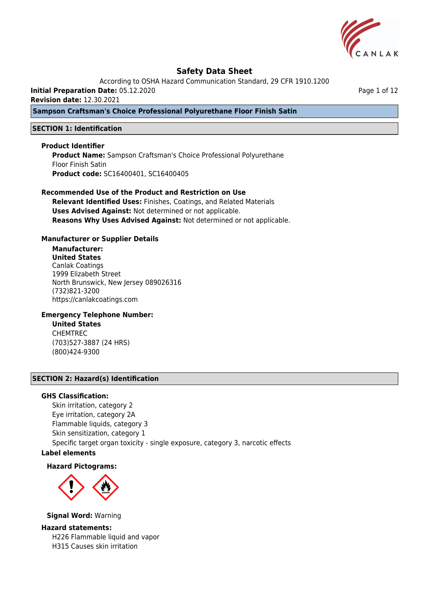

According to OSHA Hazard Communication Standard, 29 CFR 1910.1200

**Initial Preparation Date:** 05.12.2020

**Revision date:** 12.30.2021

**Sampson Craftsman's Choice Professional Polyurethane Floor Finish Satin**

## **SECTION 1: Identification**

### **Product Identifier**

**Product Name:** Sampson Craftsman's Choice Professional Polyurethane Floor Finish Satin **Product code:** SC16400401, SC16400405

# **Recommended Use of the Product and Restriction on Use**

**Relevant Identified Uses:** Finishes, Coatings, and Related Materials **Uses Advised Against:** Not determined or not applicable. **Reasons Why Uses Advised Against:** Not determined or not applicable.

### **Manufacturer or Supplier Details**

# **Manufacturer:**

**United States** Canlak Coatings 1999 Elizabeth Street North Brunswick, New Jersey 089026316 (732)821-3200 https://canlakcoatings.com

### **Emergency Telephone Number:**

**United States** CHEMTREC (703)527-3887 (24 HRS) (800)424-9300

## **SECTION 2: Hazard(s) Identification**

### **GHS Classification:**

Skin irritation, category 2 Eye irritation, category 2A Flammable liquids, category 3 Skin sensitization, category 1 Specific target organ toxicity - single exposure, category 3, narcotic effects

# **Label elements**

### **Hazard Pictograms:**



**Signal Word:** Warning

### **Hazard statements:**

H226 Flammable liquid and vapor H315 Causes skin irritation

Page 1 of 12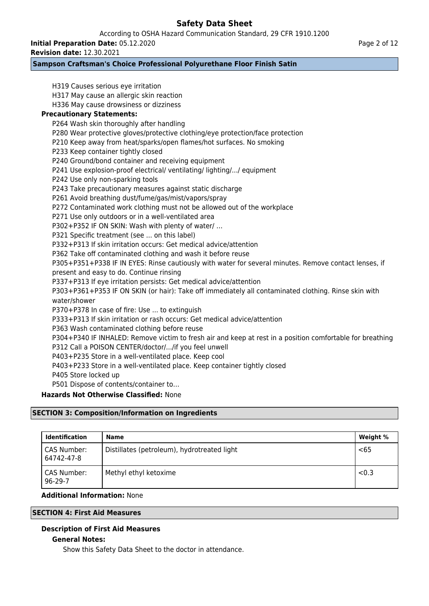According to OSHA Hazard Communication Standard, 29 CFR 1910.1200

**Initial Preparation Date:** 05.12.2020

**Revision date:** 12.30.2021

# **Sampson Craftsman's Choice Professional Polyurethane Floor Finish Satin**

H319 Causes serious eye irritation H317 May cause an allergic skin reaction H336 May cause drowsiness or dizziness **Precautionary Statements:** P264 Wash skin thoroughly after handling P280 Wear protective gloves/protective clothing/eye protection/face protection P210 Keep away from heat/sparks/open flames/hot surfaces. No smoking P233 Keep container tightly closed P240 Ground/bond container and receiving equipment P241 Use explosion-proof electrical/ ventilating/ lighting/.../ equipment P242 Use only non-sparking tools P243 Take precautionary measures against static discharge P261 Avoid breathing dust/fume/gas/mist/vapors/spray P272 Contaminated work clothing must not be allowed out of the workplace P271 Use only outdoors or in a well-ventilated area P302+P352 IF ON SKIN: Wash with plenty of water/ … P321 Specific treatment (see ... on this label) P332+P313 If skin irritation occurs: Get medical advice/attention P362 Take off contaminated clothing and wash it before reuse P305+P351+P338 IF IN EYES: Rinse cautiously with water for several minutes. Remove contact lenses, if present and easy to do. Continue rinsing P337+P313 If eye irritation persists: Get medical advice/attention P303+P361+P353 IF ON SKIN (or hair): Take off immediately all contaminated clothing. Rinse skin with water/shower P370+P378 In case of fire: Use ... to extinguish P333+P313 If skin irritation or rash occurs: Get medical advice/attention P363 Wash contaminated clothing before reuse P304+P340 IF INHALED: Remove victim to fresh air and keep at rest in a position comfortable for breathing P312 Call a POISON CENTER/doctor/.../if you feel unwell P403+P235 Store in a well-ventilated place. Keep cool P403+P233 Store in a well-ventilated place. Keep container tightly closed P405 Store locked up P501 Dispose of contents/container to… **Hazards Not Otherwise Classified:** None **SECTION 3: Composition/Information on Ingredients**

| <b>Identification</b>        | Name                                        | Weight % |
|------------------------------|---------------------------------------------|----------|
| CAS Number:<br>64742-47-8    | Distillates (petroleum), hydrotreated light | $65$     |
| CAS Number:<br>$96 - 29 - 7$ | Methyl ethyl ketoxime                       | < 0.3    |

# **Additional Information:** None

# **SECTION 4: First Aid Measures**

# **Description of First Aid Measures**

# **General Notes:**

Show this Safety Data Sheet to the doctor in attendance.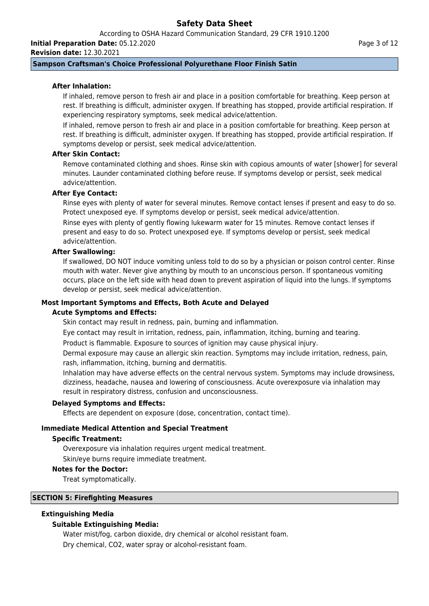According to OSHA Hazard Communication Standard, 29 CFR 1910.1200 **Initial Preparation Date:** 05.12.2020

**Revision date:** 12.30.2021

### Page 3 of 12

# **Sampson Craftsman's Choice Professional Polyurethane Floor Finish Satin**

### **After Inhalation:**

If inhaled, remove person to fresh air and place in a position comfortable for breathing. Keep person at rest. If breathing is difficult, administer oxygen. If breathing has stopped, provide artificial respiration. If experiencing respiratory symptoms, seek medical advice/attention.

If inhaled, remove person to fresh air and place in a position comfortable for breathing. Keep person at rest. If breathing is difficult, administer oxygen. If breathing has stopped, provide artificial respiration. If symptoms develop or persist, seek medical advice/attention.

# **After Skin Contact:**

Remove contaminated clothing and shoes. Rinse skin with copious amounts of water [shower] for several minutes. Launder contaminated clothing before reuse. If symptoms develop or persist, seek medical advice/attention.

# **After Eye Contact:**

Rinse eyes with plenty of water for several minutes. Remove contact lenses if present and easy to do so. Protect unexposed eye. If symptoms develop or persist, seek medical advice/attention. Rinse eyes with plenty of gently flowing lukewarm water for 15 minutes. Remove contact lenses if

present and easy to do so. Protect unexposed eye. If symptoms develop or persist, seek medical advice/attention.

### **After Swallowing:**

If swallowed, DO NOT induce vomiting unless told to do so by a physician or poison control center. Rinse mouth with water. Never give anything by mouth to an unconscious person. If spontaneous vomiting occurs, place on the left side with head down to prevent aspiration of liquid into the lungs. If symptoms develop or persist, seek medical advice/attention.

### **Most Important Symptoms and Effects, Both Acute and Delayed**

### **Acute Symptoms and Effects:**

Skin contact may result in redness, pain, burning and inflammation.

Eye contact may result in irritation, redness, pain, inflammation, itching, burning and tearing.

Product is flammable. Exposure to sources of ignition may cause physical injury.

Dermal exposure may cause an allergic skin reaction. Symptoms may include irritation, redness, pain, rash, inflammation, itching, burning and dermatitis.

Inhalation may have adverse effects on the central nervous system. Symptoms may include drowsiness, dizziness, headache, nausea and lowering of consciousness. Acute overexposure via inhalation may result in respiratory distress, confusion and unconsciousness.

### **Delayed Symptoms and Effects:**

Effects are dependent on exposure (dose, concentration, contact time).

### **Immediate Medical Attention and Special Treatment**

### **Specific Treatment:**

Overexposure via inhalation requires urgent medical treatment.

Skin/eye burns require immediate treatment.

#### **Notes for the Doctor:**

Treat symptomatically.

## **SECTION 5: Firefighting Measures**

### **Extinguishing Media**

# **Suitable Extinguishing Media:**

Water mist/fog, carbon dioxide, dry chemical or alcohol resistant foam. Dry chemical, CO2, water spray or alcohol-resistant foam.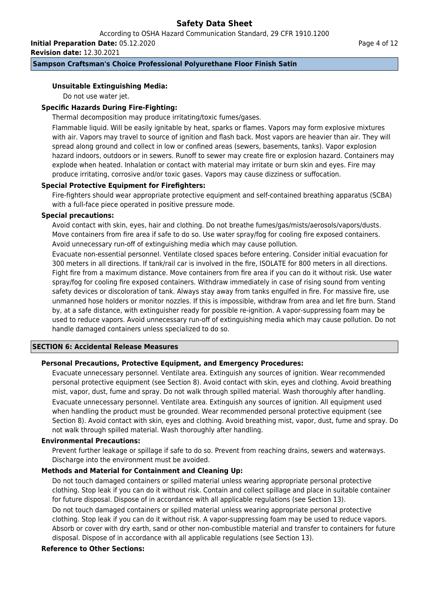According to OSHA Hazard Communication Standard, 29 CFR 1910.1200 **Initial Preparation Date:** 05.12.2020

**Revision date:** 12.30.2021

# **Sampson Craftsman's Choice Professional Polyurethane Floor Finish Satin**

# **Unsuitable Extinguishing Media:**

Do not use water jet.

# **Specific Hazards During Fire-Fighting:**

Thermal decomposition may produce irritating/toxic fumes/gases.

Flammable liquid. Will be easily ignitable by heat, sparks or flames. Vapors may form explosive mixtures with air. Vapors may travel to source of ignition and flash back. Most vapors are heavier than air. They will spread along ground and collect in low or confined areas (sewers, basements, tanks). Vapor explosion hazard indoors, outdoors or in sewers. Runoff to sewer may create fire or explosion hazard. Containers may explode when heated. Inhalation or contact with material may irritate or burn skin and eyes. Fire may produce irritating, corrosive and/or toxic gases. Vapors may cause dizziness or suffocation.

# **Special Protective Equipment for Firefighters:**

Fire-fighters should wear appropriate protective equipment and self-contained breathing apparatus (SCBA) with a full-face piece operated in positive pressure mode.

# **Special precautions:**

Avoid contact with skin, eyes, hair and clothing. Do not breathe fumes/gas/mists/aerosols/vapors/dusts. Move containers from fire area if safe to do so. Use water spray/fog for cooling fire exposed containers. Avoid unnecessary run-off of extinguishing media which may cause pollution.

Evacuate non-essential personnel. Ventilate closed spaces before entering. Consider initial evacuation for 300 meters in all directions. If tank/rail car is involved in the fire, ISOLATE for 800 meters in all directions. Fight fire from a maximum distance. Move containers from fire area if you can do it without risk. Use water spray/fog for cooling fire exposed containers. Withdraw immediately in case of rising sound from venting safety devices or discoloration of tank. Always stay away from tanks engulfed in fire. For massive fire, use unmanned hose holders or monitor nozzles. If this is impossible, withdraw from area and let fire burn. Stand by, at a safe distance, with extinguisher ready for possible re-ignition. A vapor-suppressing foam may be used to reduce vapors. Avoid unnecessary run-off of extinguishing media which may cause pollution. Do not handle damaged containers unless specialized to do so.

# **SECTION 6: Accidental Release Measures**

# **Personal Precautions, Protective Equipment, and Emergency Procedures:**

Evacuate unnecessary personnel. Ventilate area. Extinguish any sources of ignition. Wear recommended personal protective equipment (see Section 8). Avoid contact with skin, eyes and clothing. Avoid breathing mist, vapor, dust, fume and spray. Do not walk through spilled material. Wash thoroughly after handling. Evacuate unnecessary personnel. Ventilate area. Extinguish any sources of ignition. All equipment used when handling the product must be grounded. Wear recommended personal protective equipment (see Section 8). Avoid contact with skin, eyes and clothing. Avoid breathing mist, vapor, dust, fume and spray. Do not walk through spilled material. Wash thoroughly after handling.

### **Environmental Precautions:**

Prevent further leakage or spillage if safe to do so. Prevent from reaching drains, sewers and waterways. Discharge into the environment must be avoided.

# **Methods and Material for Containment and Cleaning Up:**

Do not touch damaged containers or spilled material unless wearing appropriate personal protective clothing. Stop leak if you can do it without risk. Contain and collect spillage and place in suitable container for future disposal. Dispose of in accordance with all applicable regulations (see Section 13).

Do not touch damaged containers or spilled material unless wearing appropriate personal protective clothing. Stop leak if you can do it without risk. A vapor-suppressing foam may be used to reduce vapors. Absorb or cover with dry earth, sand or other non-combustible material and transfer to containers for future disposal. Dispose of in accordance with all applicable regulations (see Section 13).

# **Reference to Other Sections:**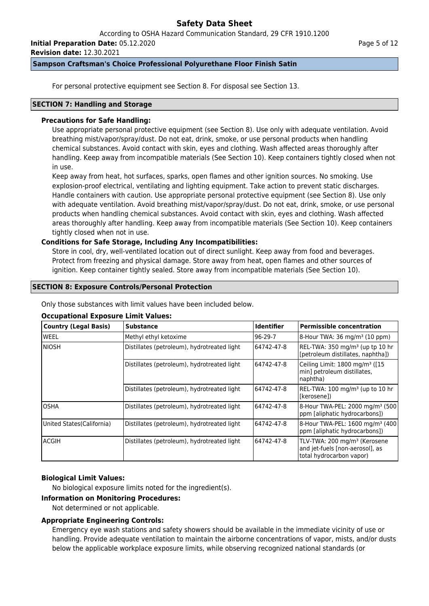According to OSHA Hazard Communication Standard, 29 CFR 1910.1200

**Initial Preparation Date:** 05.12.2020

**Revision date:** 12.30.2021

## **Sampson Craftsman's Choice Professional Polyurethane Floor Finish Satin**

For personal protective equipment see Section 8. For disposal see Section 13.

## **SECTION 7: Handling and Storage**

# **Precautions for Safe Handling:**

Use appropriate personal protective equipment (see Section 8). Use only with adequate ventilation. Avoid breathing mist/vapor/spray/dust. Do not eat, drink, smoke, or use personal products when handling chemical substances. Avoid contact with skin, eyes and clothing. Wash affected areas thoroughly after handling. Keep away from incompatible materials (See Section 10). Keep containers tightly closed when not in use.

Keep away from heat, hot surfaces, sparks, open flames and other ignition sources. No smoking. Use explosion-proof electrical, ventilating and lighting equipment. Take action to prevent static discharges. Handle containers with caution. Use appropriate personal protective equipment (see Section 8). Use only with adequate ventilation. Avoid breathing mist/vapor/spray/dust. Do not eat, drink, smoke, or use personal products when handling chemical substances. Avoid contact with skin, eyes and clothing. Wash affected areas thoroughly after handling. Keep away from incompatible materials (See Section 10). Keep containers tightly closed when not in use.

# **Conditions for Safe Storage, Including Any Incompatibilities:**

Store in cool, dry, well-ventilated location out of direct sunlight. Keep away from food and beverages. Protect from freezing and physical damage. Store away from heat, open flames and other sources of ignition. Keep container tightly sealed. Store away from incompatible materials (See Section 10).

# **SECTION 8: Exposure Controls/Personal Protection**

Only those substances with limit values have been included below.

# **Occupational Exposure Limit Values:**

| Country (Legal Basis)      | <b>Substance</b>                            | <b>Identifier</b> | <b>Permissible concentration</b>                                                                        |
|----------------------------|---------------------------------------------|-------------------|---------------------------------------------------------------------------------------------------------|
| lweel                      | Methyl ethyl ketoxime                       | $96-29-7$         | 8-Hour TWA: 36 mg/m <sup>3</sup> (10 ppm)                                                               |
| Iniosh                     | Distillates (petroleum), hydrotreated light | 64742-47-8        | REL-TWA: 350 mg/m <sup>3</sup> (up tp 10 hr<br>[petroleum distillates, naphtha])                        |
|                            | Distillates (petroleum), hydrotreated light | 64742-47-8        | Ceiling Limit: 1800 mg/m <sup>3</sup> ([15<br>min] petroleum distillates,<br>naphtha)                   |
|                            | Distillates (petroleum), hydrotreated light | 64742-47-8        | REL-TWA: 100 mg/m <sup>3</sup> (up to 10 hr<br>l[kerosene])                                             |
| IOSHA                      | Distillates (petroleum), hydrotreated light | 64742-47-8        | 8-Hour TWA-PEL: 2000 mg/m <sup>3</sup> (500)<br>ppm [aliphatic hydrocarbons])                           |
| United States (California) | Distillates (petroleum), hydrotreated light | 64742-47-8        | 8-Hour TWA-PEL: 1600 mg/m <sup>3</sup> (400<br>ppm [aliphatic hydrocarbons])                            |
| lacgih                     | Distillates (petroleum), hydrotreated light | 64742-47-8        | TLV-TWA: 200 mg/m <sup>3</sup> (Kerosene<br>and jet-fuels [non-aerosol], as<br>total hydrocarbon vapor) |

# **Biological Limit Values:**

No biological exposure limits noted for the ingredient(s).

### **Information on Monitoring Procedures:**

Not determined or not applicable.

# **Appropriate Engineering Controls:**

Emergency eye wash stations and safety showers should be available in the immediate vicinity of use or handling. Provide adequate ventilation to maintain the airborne concentrations of vapor, mists, and/or dusts below the applicable workplace exposure limits, while observing recognized national standards (or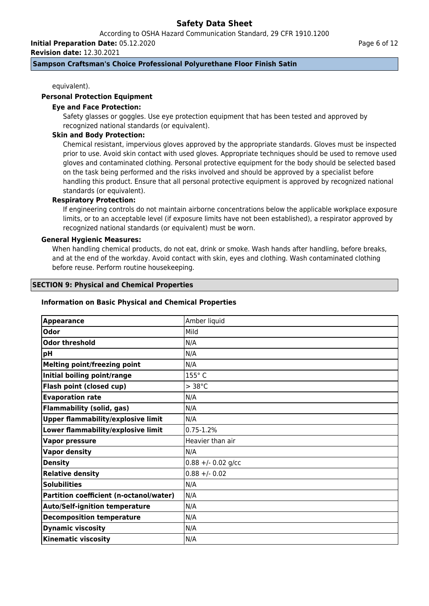According to OSHA Hazard Communication Standard, 29 CFR 1910.1200

**Initial Preparation Date:** 05.12.2020

**Revision date:** 12.30.2021

## **Sampson Craftsman's Choice Professional Polyurethane Floor Finish Satin**

equivalent).

# **Personal Protection Equipment**

# **Eye and Face Protection:**

Safety glasses or goggles. Use eye protection equipment that has been tested and approved by recognized national standards (or equivalent).

# **Skin and Body Protection:**

Chemical resistant, impervious gloves approved by the appropriate standards. Gloves must be inspected prior to use. Avoid skin contact with used gloves. Appropriate techniques should be used to remove used gloves and contaminated clothing. Personal protective equipment for the body should be selected based on the task being performed and the risks involved and should be approved by a specialist before handling this product. Ensure that all personal protective equipment is approved by recognized national standards (or equivalent).

# **Respiratory Protection:**

If engineering controls do not maintain airborne concentrations below the applicable workplace exposure limits, or to an acceptable level (if exposure limits have not been established), a respirator approved by recognized national standards (or equivalent) must be worn.

## **General Hygienic Measures:**

When handling chemical products, do not eat, drink or smoke. Wash hands after handling, before breaks, and at the end of the workday. Avoid contact with skin, eyes and clothing. Wash contaminated clothing before reuse. Perform routine housekeeping.

### **SECTION 9: Physical and Chemical Properties**

## **Information on Basic Physical and Chemical Properties**

| <b>Appearance</b>                         | Amber liquid        |
|-------------------------------------------|---------------------|
| Odor                                      | Mild                |
| <b>Odor threshold</b>                     | N/A                 |
| pH                                        | N/A                 |
| <b>Melting point/freezing point</b>       | N/A                 |
| Initial boiling point/range               | 155°C               |
| Flash point (closed cup)                  | $> 38^{\circ}$ C    |
| <b>Evaporation rate</b>                   | N/A                 |
| <b>Flammability (solid, gas)</b>          | N/A                 |
| <b>Upper flammability/explosive limit</b> | N/A                 |
| Lower flammability/explosive limit        | $0.75 - 1.2%$       |
| <b>Vapor pressure</b>                     | Heavier than air    |
| <b>Vapor density</b>                      | N/A                 |
| <b>Density</b>                            | $0.88 + -0.02$ g/cc |
| <b>Relative density</b>                   | $0.88 + - 0.02$     |
| <b>Solubilities</b>                       | N/A                 |
| Partition coefficient (n-octanol/water)   | N/A                 |
| <b>Auto/Self-ignition temperature</b>     | N/A                 |
| <b>Decomposition temperature</b>          | N/A                 |
| <b>Dynamic viscosity</b>                  | N/A                 |
| <b>Kinematic viscosity</b>                | N/A                 |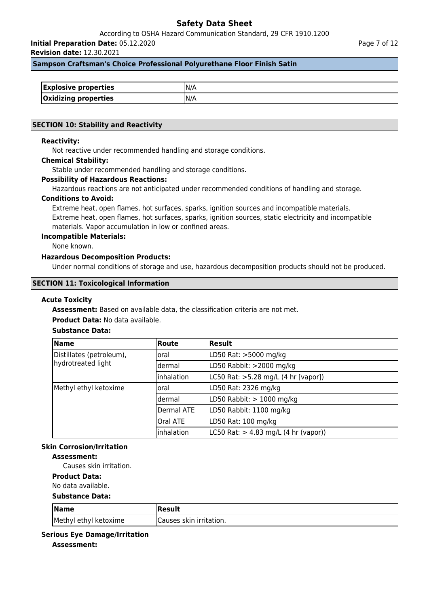According to OSHA Hazard Communication Standard, 29 CFR 1910.1200

**Initial Preparation Date:** 05.12.2020

**Revision date:** 12.30.2021

### **Sampson Craftsman's Choice Professional Polyurethane Floor Finish Satin**

| <b>Explosive properties</b> |  |
|-----------------------------|--|
| <b>Oxidizing properties</b> |  |

### **SECTION 10: Stability and Reactivity**

### **Reactivity:**

Not reactive under recommended handling and storage conditions.

#### **Chemical Stability:**

Stable under recommended handling and storage conditions.

### **Possibility of Hazardous Reactions:**

Hazardous reactions are not anticipated under recommended conditions of handling and storage.

#### **Conditions to Avoid:**

Extreme heat, open flames, hot surfaces, sparks, ignition sources and incompatible materials. Extreme heat, open flames, hot surfaces, sparks, ignition sources, static electricity and incompatible materials. Vapor accumulation in low or confined areas.

#### **Incompatible Materials:**

None known.

# **Hazardous Decomposition Products:**

Under normal conditions of storage and use, hazardous decomposition products should not be produced.

### **SECTION 11: Toxicological Information**

#### **Acute Toxicity**

**Assessment:** Based on available data, the classification criteria are not met.

## **Product Data:** No data available.

# **Substance Data:**

| <b>Name</b>              | <b>Route</b>    | Result                                                   |
|--------------------------|-----------------|----------------------------------------------------------|
| Distillates (petroleum), | loral           | LD50 Rat: >5000 mg/kg                                    |
| hydrotreated light       | ldermal         | LD50 Rabbit: >2000 mg/kg                                 |
|                          | inhalation      | LC50 Rat: >5.28 mg/L (4 hr [vapor])                      |
| Methyl ethyl ketoxime    | loral           | LD50 Rat: 2326 mg/kg                                     |
|                          | ldermal         | LD50 Rabbit: $> 1000$ mg/kg                              |
|                          | Dermal ATE      | LD50 Rabbit: 1100 mg/kg                                  |
|                          | <b>Oral ATE</b> | LD50 Rat: 100 mg/kg                                      |
|                          | inhalation      | $ L C50 \text{ Rat:} > 4.83 \text{ mg/L}$ (4 hr (vapor)) |

# **Skin Corrosion/Irritation**

# **Assessment:**

Causes skin irritation.

**Product Data:**

# No data available.

#### **Substance Data:**

| $\sqrt{\mathsf{Name}}$ | Result                   |
|------------------------|--------------------------|
| Methyl ethyl ketoxime  | ICauses skin irritation. |

## **Serious Eye Damage/Irritation**

**Assessment:**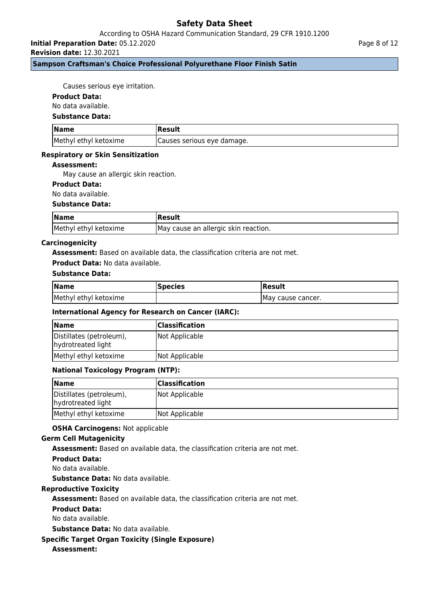According to OSHA Hazard Communication Standard, 29 CFR 1910.1200

**Initial Preparation Date:** 05.12.2020

**Revision date:** 12.30.2021

# **Sampson Craftsman's Choice Professional Polyurethane Floor Finish Satin**

Causes serious eye irritation.

### **Product Data:**

No data available.

### **Substance Data:**

| <b>Name</b>           | Result                      |
|-----------------------|-----------------------------|
| Methyl ethyl ketoxime | (Causes serious eye damage. |

### **Respiratory or Skin Sensitization**

## **Assessment:**

May cause an allergic skin reaction.

# **Product Data:**

No data available.

### **Substance Data:**

| <b>Name</b>           | Result                               |
|-----------------------|--------------------------------------|
| Methyl ethyl ketoxime | May cause an allergic skin reaction. |

### **Carcinogenicity**

**Assessment:** Based on available data, the classification criteria are not met.

### **Product Data:** No data available.

### **Substance Data:**

| <b>Name</b>           | <b>Species</b> | Result             |
|-----------------------|----------------|--------------------|
| Methyl ethyl ketoxime |                | IMay cause cancer. |

# **International Agency for Research on Cancer (IARC):**

| <b>Name</b>                                    | <b>Classification</b> |
|------------------------------------------------|-----------------------|
| Distillates (petroleum),<br>hydrotreated light | Not Applicable        |
| Methyl ethyl ketoxime                          | Not Applicable        |

# **National Toxicology Program (NTP):**

| <b>Name</b>                                    | <b>Classification</b> |
|------------------------------------------------|-----------------------|
| Distillates (petroleum),<br>hydrotreated light | Not Applicable        |
| Methyl ethyl ketoxime                          | Not Applicable        |

### **OSHA Carcinogens:** Not applicable

### **Germ Cell Mutagenicity**

**Assessment:** Based on available data, the classification criteria are not met.

### **Product Data:**

No data available.

**Substance Data:** No data available.

# **Reproductive Toxicity**

**Assessment:** Based on available data, the classification criteria are not met.

### **Product Data:**

No data available.

**Substance Data:** No data available.

# **Specific Target Organ Toxicity (Single Exposure)**

# **Assessment:**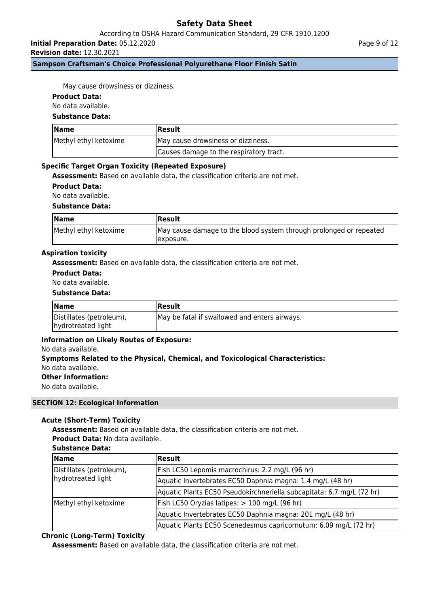According to OSHA Hazard Communication Standard, 29 CFR 1910.1200

**Initial Preparation Date:** 05.12.2020

**Revision date:** 12.30.2021

**Sampson Craftsman's Choice Professional Polyurethane Floor Finish Satin**

May cause drowsiness or dizziness.

# **Product Data:**

No data available.

## **Substance Data:**

| $\blacksquare$ Name   | <b> Result</b>                          |
|-----------------------|-----------------------------------------|
| Methyl ethyl ketoxime | May cause drowsiness or dizziness.      |
|                       | Causes damage to the respiratory tract. |

### **Specific Target Organ Toxicity (Repeated Exposure)**

**Assessment:** Based on available data, the classification criteria are not met.

**Product Data:**

No data available.

### **Substance Data:**

| <b>Name</b>           | Result                                                                           |
|-----------------------|----------------------------------------------------------------------------------|
| Methyl ethyl ketoxime | May cause damage to the blood system through prolonged or repeated<br>Texposure. |

### **Aspiration toxicity**

**Assessment:** Based on available data, the classification criteria are not met.

## **Product Data:**

No data available.

### **Substance Data:**

| <b>Name</b>              | <b> Result</b>                                |
|--------------------------|-----------------------------------------------|
| Distillates (petroleum), | May be fatal if swallowed and enters airways. |
| hydrotreated light       |                                               |

# **Information on Likely Routes of Exposure:**

#### No data available.

# **Symptoms Related to the Physical, Chemical, and Toxicological Characteristics:** No data available.

**Other Information:**

No data available.

### **SECTION 12: Ecological Information**

# **Acute (Short-Term) Toxicity**

**Assessment:** Based on available data, the classification criteria are not met. **Product Data:** No data available.

### **Substance Data:**

| <b>Name</b>              | <b>Result</b>                                                         |
|--------------------------|-----------------------------------------------------------------------|
| Distillates (petroleum), | Fish LC50 Lepomis macrochirus: 2.2 mg/L (96 hr)                       |
| hydrotreated light       | Aquatic Invertebrates EC50 Daphnia magna: 1.4 mg/L (48 hr)            |
|                          | Aquatic Plants EC50 Pseudokirchneriella subcapitata: 6.7 mg/L (72 hr) |
| Methyl ethyl ketoxime    | Fish LC50 Oryzias latipes: > 100 mg/L (96 hr)                         |
|                          | Aquatic Invertebrates EC50 Daphnia magna: 201 mg/L (48 hr)            |
|                          | Aquatic Plants EC50 Scenedesmus capricornutum: 6.09 mg/L (72 hr)      |

# **Chronic (Long-Term) Toxicity**

**Assessment:** Based on available data, the classification criteria are not met.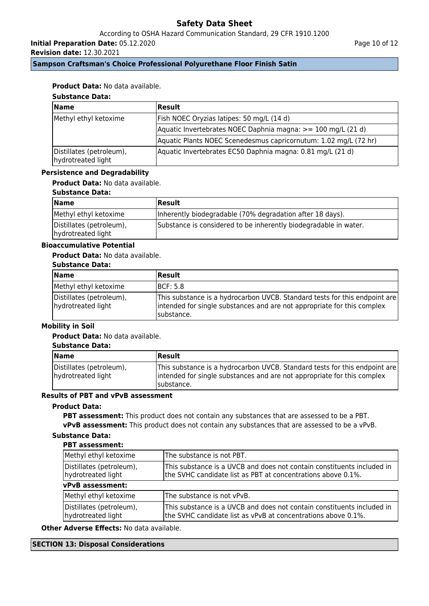According to OSHA Hazard Communication Standard, 29 CFR 1910.1200

**Initial Preparation Date:** 05.12.2020

**Revision date:** 12.30.2021

Page 10 of 12

# **Sampson Craftsman's Choice Professional Polyurethane Floor Finish Satin**

# **Product Data:** No data available.

# **Substance Data:**

| <b>Name</b>                                    | Result                                                           |
|------------------------------------------------|------------------------------------------------------------------|
| Methyl ethyl ketoxime                          | [Fish NOEC Oryzias latipes: 50 mg/L (14 d)                       |
|                                                | Aquatic Invertebrates NOEC Daphnia magna: >= 100 mg/L (21 d)     |
|                                                | Aquatic Plants NOEC Scenedesmus capricornutum: 1.02 mg/L (72 hr) |
| Distillates (petroleum),<br>hydrotreated light | Aquatic Invertebrates EC50 Daphnia magna: 0.81 mg/L (21 d)       |

### **Persistence and Degradability**

# **Product Data:** No data available.

## **Substance Data:**

| <b>Name</b>                                    | Result                                                           |
|------------------------------------------------|------------------------------------------------------------------|
| Methyl ethyl ketoxime                          | Inherently biodegradable (70% degradation after 18 days).        |
| Distillates (petroleum),<br>hydrotreated light | Substance is considered to be inherently biodegradable in water. |

# **Bioaccumulative Potential**

# **Product Data:** No data available.

## **Substance Data:**

| Name                                           | <b>Result</b>                                                                                                                                                        |
|------------------------------------------------|----------------------------------------------------------------------------------------------------------------------------------------------------------------------|
| Methyl ethyl ketoxime                          | <b>IBCF: 5.8</b>                                                                                                                                                     |
| Distillates (petroleum),<br>hydrotreated light | This substance is a hydrocarbon UVCB. Standard tests for this endpoint are<br>intended for single substances and are not appropriate for this complex<br>Isubstance. |

# **Mobility in Soil**

# **Product Data:** No data available.

### **Substance Data:**

| <b>Name</b>                                    | <b>Result</b>                                                                                                                                                        |
|------------------------------------------------|----------------------------------------------------------------------------------------------------------------------------------------------------------------------|
| Distillates (petroleum),<br>hydrotreated light | This substance is a hydrocarbon UVCB. Standard tests for this endpoint are<br>intended for single substances and are not appropriate for this complex<br>Isubstance. |

# **Results of PBT and vPvB assessment**

# **Product Data:**

**PBT assessment:** This product does not contain any substances that are assessed to be a PBT. **vPvB assessment:** This product does not contain any substances that are assessed to be a vPvB.

# **Substance Data:**

# **PBT assessment:**

| Methyl ethyl ketoxime                          | The substance is not PBT.                                                                                                               |
|------------------------------------------------|-----------------------------------------------------------------------------------------------------------------------------------------|
| Distillates (petroleum),<br>hydrotreated light | This substance is a UVCB and does not contain constituents included in<br>the SVHC candidate list as PBT at concentrations above 0.1%.  |
| vPvB assessment:                               |                                                                                                                                         |
| Methyl ethyl ketoxime                          | The substance is not vPvB.                                                                                                              |
| Distillates (petroleum),<br>hydrotreated light | This substance is a UVCB and does not contain constituents included in<br>the SVHC candidate list as vPvB at concentrations above 0.1%. |

**Other Adverse Effects:** No data available.

### **SECTION 13: Disposal Considerations**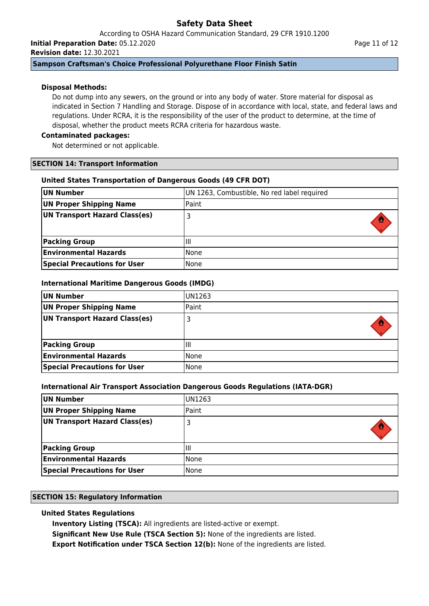According to OSHA Hazard Communication Standard, 29 CFR 1910.1200 **Initial Preparation Date:** 05.12.2020

**Revision date:** 12.30.2021

# **Sampson Craftsman's Choice Professional Polyurethane Floor Finish Satin**

# **Disposal Methods:**

Do not dump into any sewers, on the ground or into any body of water. Store material for disposal as indicated in Section 7 Handling and Storage. Dispose of in accordance with local, state, and federal laws and regulations. Under RCRA, it is the responsibility of the user of the product to determine, at the time of disposal, whether the product meets RCRA criteria for hazardous waste.

# **Contaminated packages:**

Not determined or not applicable.

# **SECTION 14: Transport Information**

# **United States Transportation of Dangerous Goods (49 CFR DOT)**

| UN Number                           | UN 1263, Combustible, No red label required |
|-------------------------------------|---------------------------------------------|
| <b>UN Proper Shipping Name</b>      | Paint                                       |
| UN Transport Hazard Class(es)       |                                             |
| <b>Packing Group</b>                | Ш                                           |
| <b>Environmental Hazards</b>        | l None                                      |
| <b>Special Precautions for User</b> | None                                        |

# **International Maritime Dangerous Goods (IMDG)**

| UN Number                           | IUN1263 |
|-------------------------------------|---------|
| UN Proper Shipping Name             | Paint   |
| UN Transport Hazard Class(es)       |         |
|                                     |         |
| <b>Packing Group</b>                | Шı      |
| <b>Environmental Hazards</b>        | l None  |
| <b>Special Precautions for User</b> | l None  |

# **International Air Transport Association Dangerous Goods Regulations (IATA-DGR)**

| UN Number                           | UN1263 |
|-------------------------------------|--------|
| UN Proper Shipping Name             | Paint  |
| UN Transport Hazard Class(es)       |        |
| <b>Packing Group</b>                | Ш      |
| <b>Environmental Hazards</b>        | None   |
| <b>Special Precautions for User</b> | None   |

# **SECTION 15: Regulatory Information**

# **United States Regulations**

**Inventory Listing (TSCA):** All ingredients are listed-active or exempt.

**Significant New Use Rule (TSCA Section 5):** None of the ingredients are listed.

**Export Notification under TSCA Section 12(b):** None of the ingredients are listed.